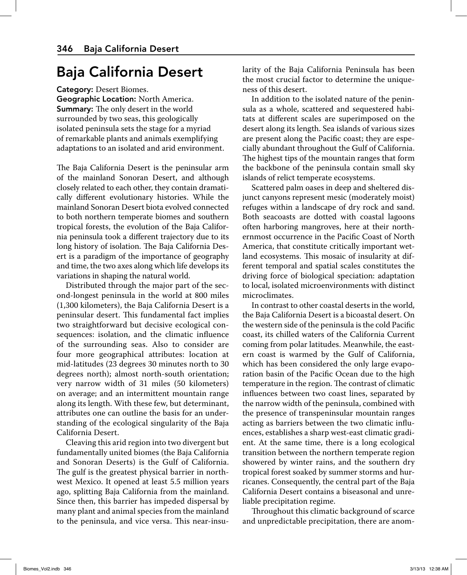# Baja California Desert

Category: Desert Biomes.

Geographic Location: North America. Summary: The only desert in the world surrounded by two seas, this geologically isolated peninsula sets the stage for a myriad of remarkable plants and animals exemplifying adaptations to an isolated and arid environment.

The Baja California Desert is the peninsular arm of the mainland Sonoran Desert, and although closely related to each other, they contain dramatically different evolutionary histories. While the mainland Sonoran Desert biota evolved connected to both northern temperate biomes and southern tropical forests, the evolution of the Baja California peninsula took a different trajectory due to its long history of isolation. The Baja California Desert is a paradigm of the importance of geography and time, the two axes along which life develops its variations in shaping the natural world.

Distributed through the major part of the second-longest peninsula in the world at 800 miles (1,300 kilometers), the Baja California Desert is a peninsular desert. This fundamental fact implies two straightforward but decisive ecological consequences: isolation, and the climatic influence of the surrounding seas. Also to consider are four more geographical attributes: location at mid-latitudes (23 degrees 30 minutes north to 30 degrees north); almost north-south orientation; very narrow width of 31 miles (50 kilometers) on average; and an intermittent mountain range along its length. With these few, but determinant, attributes one can outline the basis for an understanding of the ecological singularity of the Baja California Desert.

Cleaving this arid region into two divergent but fundamentally united biomes (the Baja California and Sonoran Deserts) is the Gulf of California. The gulf is the greatest physical barrier in northwest Mexico. It opened at least 5.5 million years ago, splitting Baja California from the mainland. Since then, this barrier has impeded dispersal by many plant and animal species from the mainland to the peninsula, and vice versa. This near-insularity of the Baja California Peninsula has been the most crucial factor to determine the uniqueness of this desert.

In addition to the isolated nature of the peninsula as a whole, scattered and sequestered habitats at different scales are superimposed on the desert along its length. Sea islands of various sizes are present along the Pacific coast; they are especially abundant throughout the Gulf of California. The highest tips of the mountain ranges that form the backbone of the peninsula contain small sky islands of relict temperate ecosystems.

Scattered palm oases in deep and sheltered disjunct canyons represent mesic (moderately moist) refuges within a landscape of dry rock and sand. Both seacoasts are dotted with coastal lagoons often harboring mangroves, here at their northernmost occurrence in the Pacific Coast of North America, that constitute critically important wetland ecosystems. This mosaic of insularity at different temporal and spatial scales constitutes the driving force of biological speciation: adaptation to local, isolated microenvironments with distinct microclimates.

In contrast to other coastal deserts in the world, the Baja California Desert is a bicoastal desert. On the western side of the peninsula is the cold Pacific coast, its chilled waters of the California Current coming from polar latitudes. Meanwhile, the eastern coast is warmed by the Gulf of California, which has been considered the only large evaporation basin of the Pacific Ocean due to the high temperature in the region. The contrast of climatic influences between two coast lines, separated by the narrow width of the peninsula, combined with the presence of transpeninsular mountain ranges acting as barriers between the two climatic influences, establishes a sharp west-east climatic gradient. At the same time, there is a long ecological transition between the northern temperate region showered by winter rains, and the southern dry tropical forest soaked by summer storms and hurricanes. Consequently, the central part of the Baja California Desert contains a biseasonal and unreliable precipitation regime.

Throughout this climatic background of scarce and unpredictable precipitation, there are anom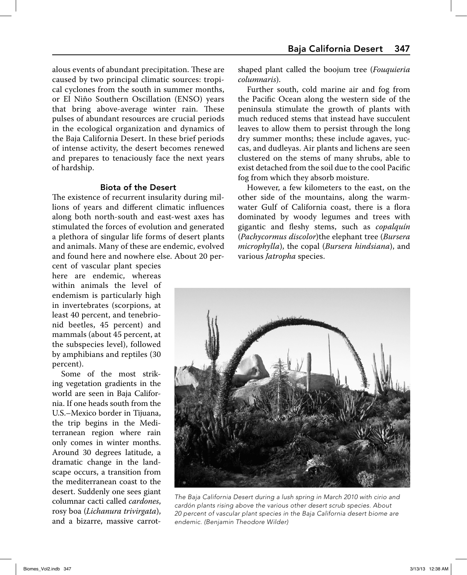alous events of abundant precipitation. These are caused by two principal climatic sources: tropical cyclones from the south in summer months, or El Niño Southern Oscillation (ENSO) years that bring above-average winter rain. These pulses of abundant resources are crucial periods in the ecological organization and dynamics of the Baja California Desert. In these brief periods of intense activity, the desert becomes renewed and prepares to tenaciously face the next years of hardship.

### Biota of the Desert

The existence of recurrent insularity during millions of years and different climatic influences along both north-south and east-west axes has stimulated the forces of evolution and generated a plethora of singular life forms of desert plants and animals. Many of these are endemic, evolved and found here and nowhere else. About 20 per-

cent of vascular plant species here are endemic, whereas within animals the level of endemism is particularly high in invertebrates (scorpions, at least 40 percent, and tenebrionid beetles, 45 percent) and mammals (about 45 percent, at the subspecies level), followed by amphibians and reptiles (30 percent).

Some of the most striking vegetation gradients in the world are seen in Baja California. If one heads south from the U.S.–Mexico border in Tijuana, the trip begins in the Mediterranean region where rain only comes in winter months. Around 30 degrees latitude, a dramatic change in the landscape occurs, a transition from the mediterranean coast to the desert. Suddenly one sees giant columnar cacti called *cardones*, rosy boa (*Lichanura trivirgata*), and a bizarre, massive carrotshaped plant called the boojum tree (*Fouquieria columnaris*).

Further south, cold marine air and fog from the Pacific Ocean along the western side of the peninsula stimulate the growth of plants with much reduced stems that instead have succulent leaves to allow them to persist through the long dry summer months; these include agaves, yuccas, and dudleyas. Air plants and lichens are seen clustered on the stems of many shrubs, able to exist detached from the soil due to the cool Pacific fog from which they absorb moisture.

However, a few kilometers to the east, on the other side of the mountains, along the warmwater Gulf of California coast, there is a flora dominated by woody legumes and trees with gigantic and fleshy stems, such as *copalquín* (*Pachycormus discolor*)the elephant tree (*Bursera microphylla*), the copal (*Bursera hindsiana*), and various *Jatropha* species.



*The Baja California Desert during a lush spring in March 2010 with cirio and cardón plants rising above the various other desert scrub species. About 20 percent of vascular plant species in the Baja California desert biome are endemic. (Benjamin Theodore Wilder)*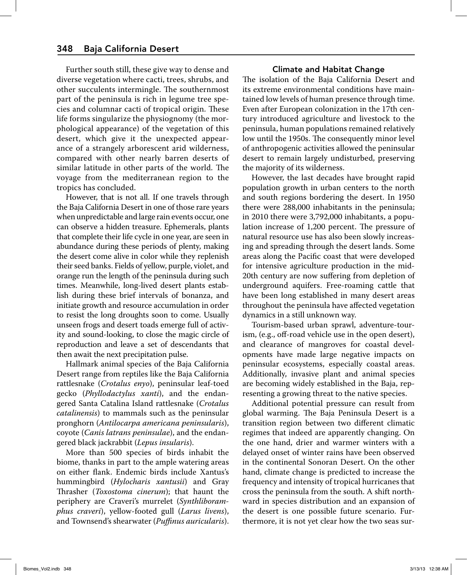Further south still, these give way to dense and diverse vegetation where cacti, trees, shrubs, and other succulents intermingle. The southernmost part of the peninsula is rich in legume tree species and columnar cacti of tropical origin. These life forms singularize the physiognomy (the morphological appearance) of the vegetation of this desert, which give it the unexpected appearance of a strangely arborescent arid wilderness, compared with other nearly barren deserts of similar latitude in other parts of the world. The voyage from the mediterranean region to the tropics has concluded.

However, that is not all. If one travels through the Baja California Desert in one of those rare years when unpredictable and large rain events occur, one can observe a hidden treasure. Ephemerals, plants that complete their life cycle in one year, are seen in abundance during these periods of plenty, making the desert come alive in color while they replenish their seed banks. Fields of yellow, purple, violet, and orange run the length of the peninsula during such times. Meanwhile, long-lived desert plants establish during these brief intervals of bonanza, and initiate growth and resource accumulation in order to resist the long droughts soon to come. Usually unseen frogs and desert toads emerge full of activity and sound-looking, to close the magic circle of reproduction and leave a set of descendants that then await the next precipitation pulse.

Hallmark animal species of the Baja California Desert range from reptiles like the Baja California rattlesnake (*Crotalus enyo*), peninsular leaf-toed gecko (*Phyllodactylus xanti*), and the endangered Santa Catalina Island rattlesnake (*Crotalus catalinensis*) to mammals such as the peninsular pronghorn (*Antilocarpa americana peninsularis*), coyote (*Canis latrans peninsulae*), and the endangered black jackrabbit (*Lepus insularis*).

More than 500 species of birds inhabit the biome, thanks in part to the ample watering areas on either flank. Endemic birds include Xantus's hummingbird (*Hylocharis xantusii*) and Gray Thrasher (*Toxostoma cinerum*); that haunt the periphery are Craveri's murrelet (*Synthliboramphus craveri*), yellow-footed gull (*Larus livens*), and Townsend's shearwater (*Puffinus auricularis*).

### Climate and Habitat Change

The isolation of the Baja California Desert and its extreme environmental conditions have maintained low levels of human presence through time. Even after European colonization in the 17th century introduced agriculture and livestock to the peninsula, human populations remained relatively low until the 1950s. The consequently minor level of anthropogenic activities allowed the peninsular desert to remain largely undisturbed, preserving the majority of its wilderness.

However, the last decades have brought rapid population growth in urban centers to the north and south regions bordering the desert. In 1950 there were 288,000 inhabitants in the peninsula; in 2010 there were 3,792,000 inhabitants, a population increase of 1,200 percent. The pressure of natural resource use has also been slowly increasing and spreading through the desert lands. Some areas along the Pacific coast that were developed for intensive agriculture production in the mid-20th century are now suffering from depletion of underground aquifers. Free-roaming cattle that have been long established in many desert areas throughout the peninsula have affected vegetation dynamics in a still unknown way.

Tourism-based urban sprawl, adventure-tourism, (e.g., off-road vehicle use in the open desert), and clearance of mangroves for coastal developments have made large negative impacts on peninsular ecosystems, especially coastal areas. Additionally, invasive plant and animal species are becoming widely established in the Baja, representing a growing threat to the native species.

Additional potential pressure can result from global warming. The Baja Peninsula Desert is a transition region between two different climatic regimes that indeed are apparently changing. On the one hand, drier and warmer winters with a delayed onset of winter rains have been observed in the continental Sonoran Desert. On the other hand, climate change is predicted to increase the frequency and intensity of tropical hurricanes that cross the peninsula from the south. A shift northward in species distribution and an expansion of the desert is one possible future scenario. Furthermore, it is not yet clear how the two seas sur